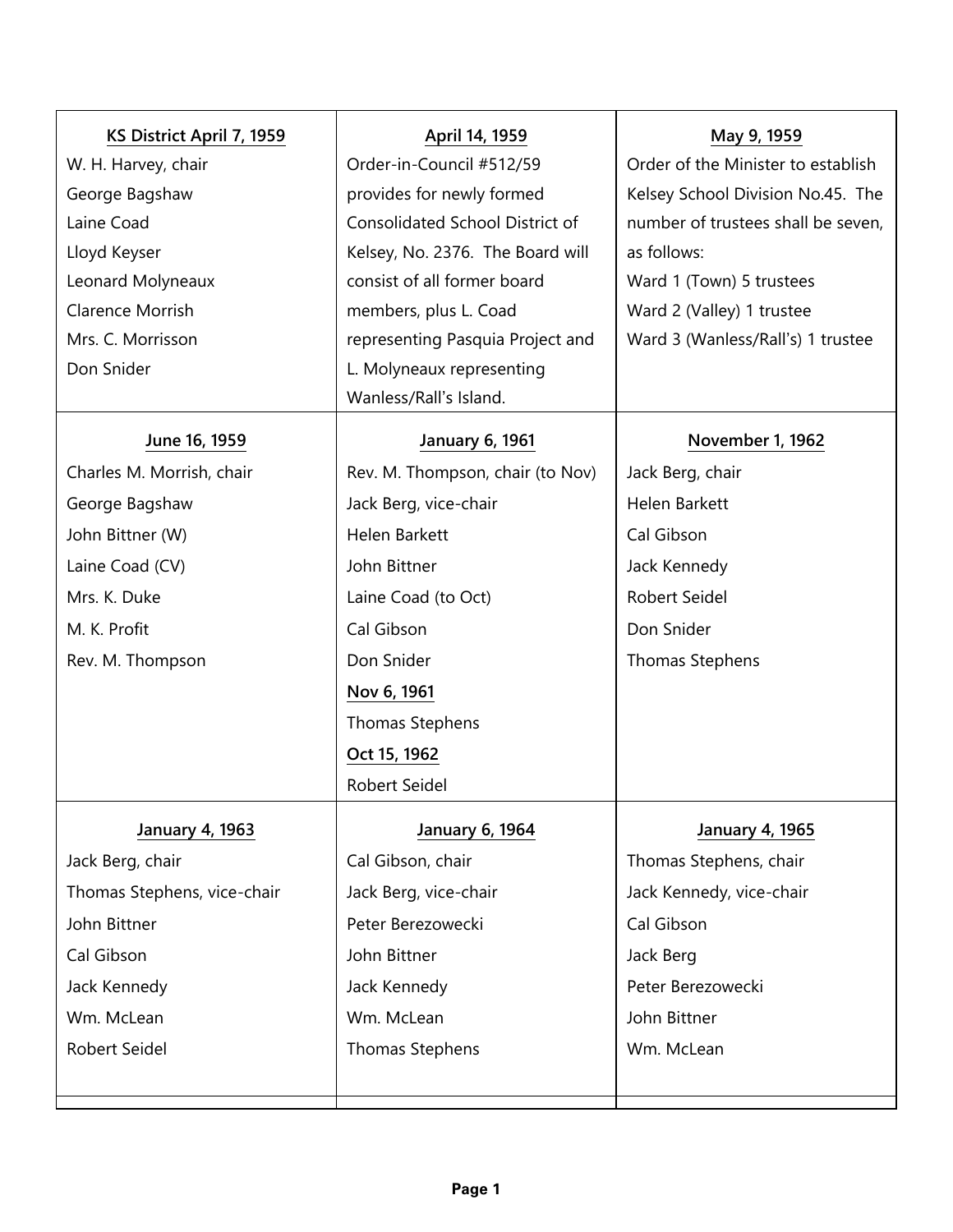| KS District April 7, 1959   | April 14, 1959                         | May 9, 1959                        |
|-----------------------------|----------------------------------------|------------------------------------|
| W. H. Harvey, chair         | Order-in-Council #512/59               | Order of the Minister to establish |
| George Bagshaw              | provides for newly formed              | Kelsey School Division No.45. The  |
| Laine Coad                  | <b>Consolidated School District of</b> | number of trustees shall be seven, |
| Lloyd Keyser                | Kelsey, No. 2376. The Board will       | as follows:                        |
| Leonard Molyneaux           | consist of all former board            | Ward 1 (Town) 5 trustees           |
| Clarence Morrish            | members, plus L. Coad                  | Ward 2 (Valley) 1 trustee          |
| Mrs. C. Morrisson           | representing Pasquia Project and       | Ward 3 (Wanless/Rall's) 1 trustee  |
| Don Snider                  | L. Molyneaux representing              |                                    |
|                             | Wanless/Rall's Island.                 |                                    |
| June 16, 1959               | <b>January 6, 1961</b>                 | November 1, 1962                   |
| Charles M. Morrish, chair   | Rev. M. Thompson, chair (to Nov)       | Jack Berg, chair                   |
| George Bagshaw              | Jack Berg, vice-chair                  | Helen Barkett                      |
| John Bittner (W)            | Helen Barkett                          | Cal Gibson                         |
| Laine Coad (CV)             | John Bittner                           | Jack Kennedy                       |
| Mrs. K. Duke                | Laine Coad (to Oct)                    | Robert Seidel                      |
| M. K. Profit                | Cal Gibson                             | Don Snider                         |
| Rev. M. Thompson            | Don Snider                             | Thomas Stephens                    |
|                             | Nov 6, 1961                            |                                    |
|                             | Thomas Stephens                        |                                    |
|                             | Oct 15, 1962                           |                                    |
|                             | Robert Seidel                          |                                    |
| January 4, 1963             | January 6, 1964                        | <b>January 4, 1965</b>             |
| Jack Berg, chair            | Cal Gibson, chair                      | Thomas Stephens, chair             |
| Thomas Stephens, vice-chair | Jack Berg, vice-chair                  | Jack Kennedy, vice-chair           |
| John Bittner                | Peter Berezowecki                      | Cal Gibson                         |
| Cal Gibson                  | John Bittner                           | Jack Berg                          |
| Jack Kennedy                | Jack Kennedy                           | Peter Berezowecki                  |
| Wm. McLean                  | Wm. McLean                             | John Bittner                       |
| Robert Seidel               | <b>Thomas Stephens</b>                 | Wm. McLean                         |
|                             |                                        |                                    |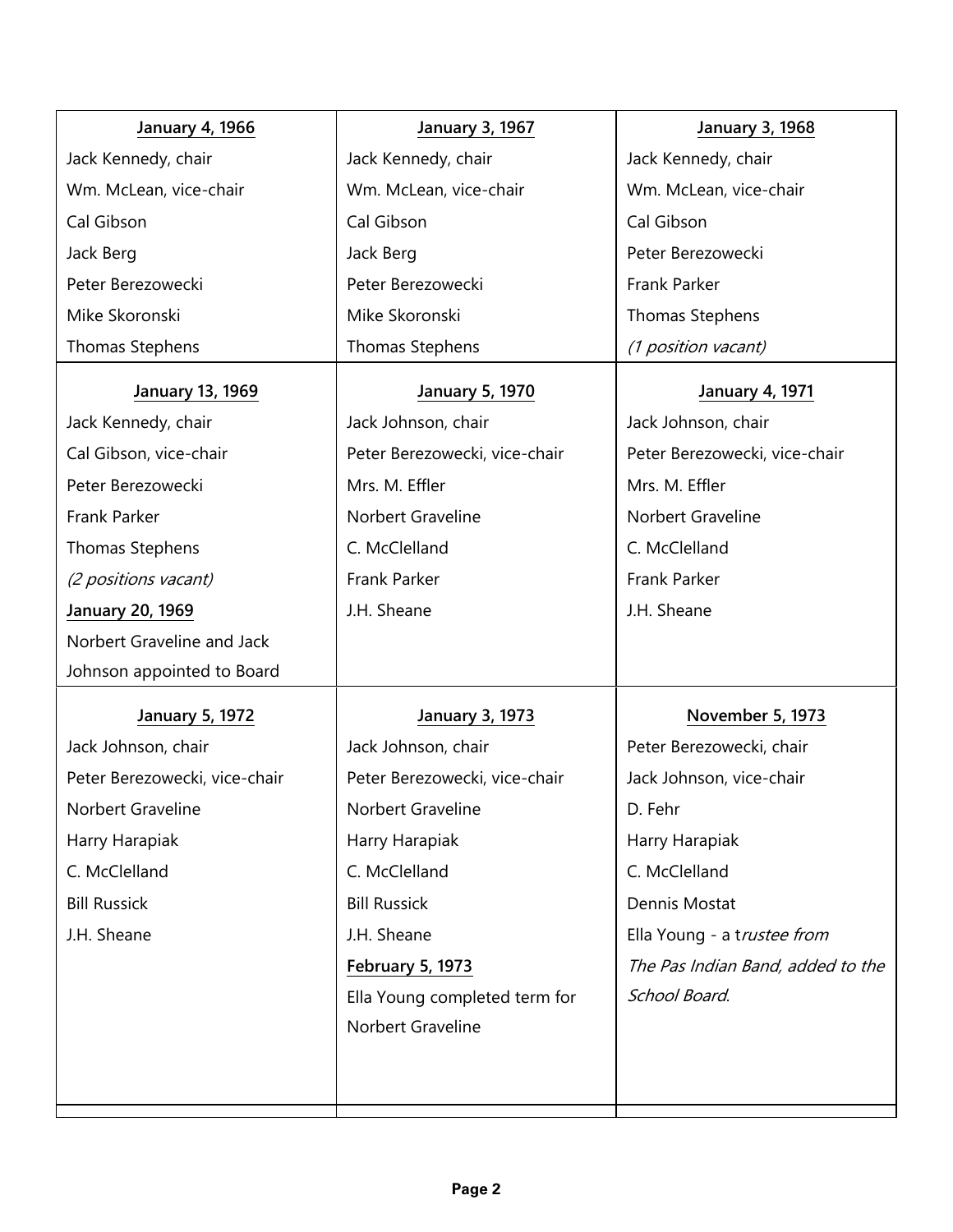| <b>January 4, 1966</b>        | <b>January 3, 1967</b>        | <b>January 3, 1968</b>            |
|-------------------------------|-------------------------------|-----------------------------------|
| Jack Kennedy, chair           | Jack Kennedy, chair           | Jack Kennedy, chair               |
| Wm. McLean, vice-chair        | Wm. McLean, vice-chair        | Wm. McLean, vice-chair            |
| Cal Gibson                    | Cal Gibson                    | Cal Gibson                        |
| Jack Berg                     | Jack Berg                     | Peter Berezowecki                 |
| Peter Berezowecki             | Peter Berezowecki             | Frank Parker                      |
| Mike Skoronski                | Mike Skoronski                | Thomas Stephens                   |
| <b>Thomas Stephens</b>        | Thomas Stephens               | (1 position vacant)               |
| January 13, 1969              | <b>January 5, 1970</b>        | <b>January 4, 1971</b>            |
| Jack Kennedy, chair           | Jack Johnson, chair           | Jack Johnson, chair               |
| Cal Gibson, vice-chair        | Peter Berezowecki, vice-chair | Peter Berezowecki, vice-chair     |
| Peter Berezowecki             | Mrs. M. Effler                | Mrs. M. Effler                    |
| Frank Parker                  | Norbert Graveline             | Norbert Graveline                 |
| <b>Thomas Stephens</b>        | C. McClelland                 | C. McClelland                     |
| (2 positions vacant)          | Frank Parker                  | Frank Parker                      |
| <b>January 20, 1969</b>       | J.H. Sheane                   | J.H. Sheane                       |
| Norbert Graveline and Jack    |                               |                                   |
| Johnson appointed to Board    |                               |                                   |
| <b>January 5, 1972</b>        | <b>January 3, 1973</b>        | November 5, 1973                  |
| Jack Johnson, chair           | Jack Johnson, chair           | Peter Berezowecki, chair          |
| Peter Berezowecki, vice-chair | Peter Berezowecki, vice-chair | Jack Johnson, vice-chair          |
| Norbert Graveline             | Norbert Graveline             | D. Fehr                           |
| Harry Harapiak                | Harry Harapiak                | Harry Harapiak                    |
| C. McClelland                 | C. McClelland                 | C. McClelland                     |
| <b>Bill Russick</b>           | <b>Bill Russick</b>           | Dennis Mostat                     |
| J.H. Sheane                   | J.H. Sheane                   | Ella Young - a trustee from       |
|                               | <b>February 5, 1973</b>       | The Pas Indian Band, added to the |
|                               | Ella Young completed term for | School Board.                     |
|                               | Norbert Graveline             |                                   |
|                               |                               |                                   |
|                               |                               |                                   |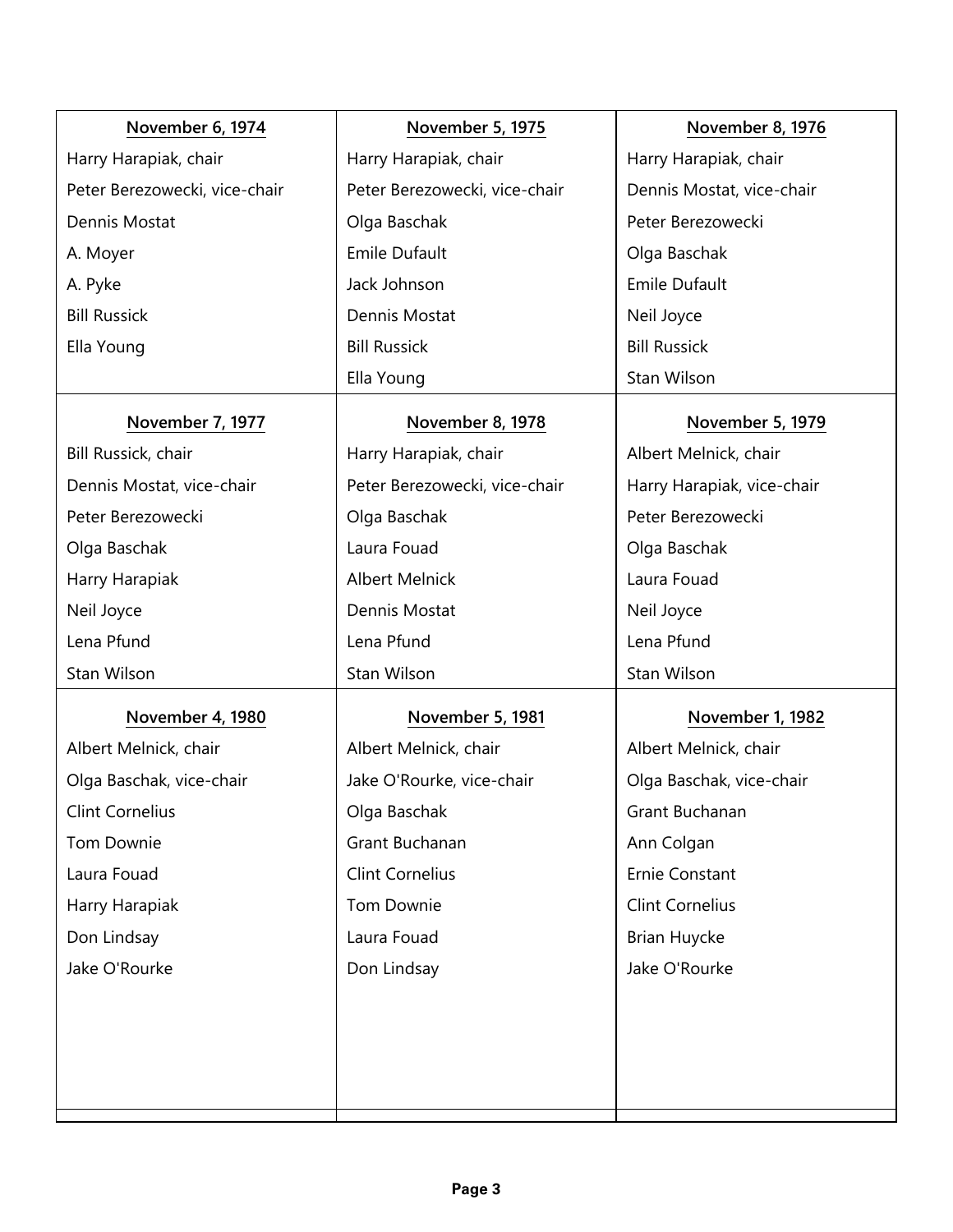| November 6, 1974              | <b>November 5, 1975</b>       | <b>November 8, 1976</b>    |
|-------------------------------|-------------------------------|----------------------------|
| Harry Harapiak, chair         | Harry Harapiak, chair         | Harry Harapiak, chair      |
| Peter Berezowecki, vice-chair | Peter Berezowecki, vice-chair | Dennis Mostat, vice-chair  |
| Dennis Mostat                 | Olga Baschak                  | Peter Berezowecki          |
| A. Moyer                      | <b>Emile Dufault</b>          | Olga Baschak               |
| A. Pyke                       | Jack Johnson                  | <b>Emile Dufault</b>       |
| <b>Bill Russick</b>           | Dennis Mostat                 | Neil Joyce                 |
| Ella Young                    | <b>Bill Russick</b>           | <b>Bill Russick</b>        |
|                               | Ella Young                    | Stan Wilson                |
| November 7, 1977              | November 8, 1978              | November 5, 1979           |
| Bill Russick, chair           | Harry Harapiak, chair         | Albert Melnick, chair      |
| Dennis Mostat, vice-chair     | Peter Berezowecki, vice-chair | Harry Harapiak, vice-chair |
| Peter Berezowecki             | Olga Baschak                  | Peter Berezowecki          |
| Olga Baschak                  | Laura Fouad                   | Olga Baschak               |
| Harry Harapiak                | <b>Albert Melnick</b>         | Laura Fouad                |
| Neil Joyce                    | Dennis Mostat                 | Neil Joyce                 |
| Lena Pfund                    | Lena Pfund                    | Lena Pfund                 |
| Stan Wilson                   | Stan Wilson                   | Stan Wilson                |
| November 4, 1980              | November 5, 1981              | November 1, 1982           |
| Albert Melnick, chair         | Albert Melnick, chair         | Albert Melnick, chair      |
| Olga Baschak, vice-chair      | Jake O'Rourke, vice-chair     | Olga Baschak, vice-chair   |
| <b>Clint Cornelius</b>        | Olga Baschak                  | Grant Buchanan             |
| Tom Downie                    | Grant Buchanan                | Ann Colgan                 |
| Laura Fouad                   | <b>Clint Cornelius</b>        | Ernie Constant             |
| Harry Harapiak                | Tom Downie                    | <b>Clint Cornelius</b>     |
| Don Lindsay                   | Laura Fouad                   | <b>Brian Huycke</b>        |
| Jake O'Rourke                 | Don Lindsay                   | Jake O'Rourke              |
|                               |                               |                            |
|                               |                               |                            |
|                               |                               |                            |
|                               |                               |                            |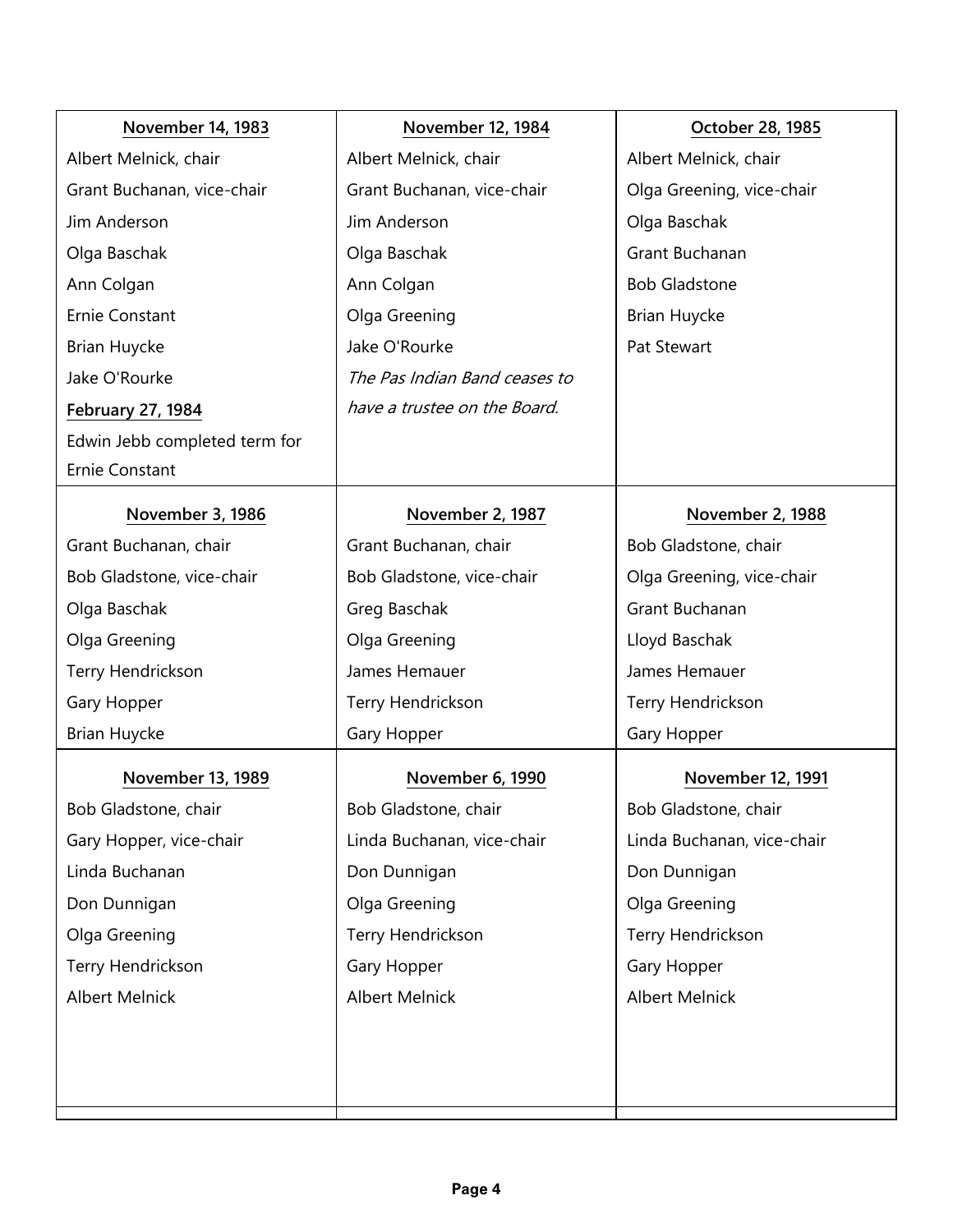| <b>November 14, 1983</b>      | November 12, 1984             | October 28, 1985           |
|-------------------------------|-------------------------------|----------------------------|
| Albert Melnick, chair         | Albert Melnick, chair         | Albert Melnick, chair      |
| Grant Buchanan, vice-chair    | Grant Buchanan, vice-chair    | Olga Greening, vice-chair  |
| Jim Anderson                  | Jim Anderson                  | Olga Baschak               |
| Olga Baschak                  | Olga Baschak                  | Grant Buchanan             |
| Ann Colgan                    | Ann Colgan                    | <b>Bob Gladstone</b>       |
| <b>Ernie Constant</b>         | Olga Greening                 | <b>Brian Huycke</b>        |
| <b>Brian Huycke</b>           | Jake O'Rourke                 | Pat Stewart                |
| Jake O'Rourke                 | The Pas Indian Band ceases to |                            |
| <b>February 27, 1984</b>      | have a trustee on the Board.  |                            |
| Edwin Jebb completed term for |                               |                            |
| Ernie Constant                |                               |                            |
| November 3, 1986              | November 2, 1987              | November 2, 1988           |
| Grant Buchanan, chair         | Grant Buchanan, chair         | Bob Gladstone, chair       |
| Bob Gladstone, vice-chair     | Bob Gladstone, vice-chair     | Olga Greening, vice-chair  |
| Olga Baschak                  | Greg Baschak                  | Grant Buchanan             |
| Olga Greening                 | Olga Greening                 | Lloyd Baschak              |
| Terry Hendrickson             | James Hemauer                 | James Hemauer              |
| Gary Hopper                   | Terry Hendrickson             | Terry Hendrickson          |
| <b>Brian Huycke</b>           | Gary Hopper                   | Gary Hopper                |
| <b>November 13, 1989</b>      | November 6, 1990              | <b>November 12, 1991</b>   |
| Bob Gladstone, chair          | Bob Gladstone, chair          | Bob Gladstone, chair       |
| Gary Hopper, vice-chair       | Linda Buchanan, vice-chair    | Linda Buchanan, vice-chair |
| Linda Buchanan                | Don Dunnigan                  | Don Dunnigan               |
| Don Dunnigan                  | Olga Greening                 | Olga Greening              |
| Olga Greening                 | Terry Hendrickson             | Terry Hendrickson          |
| Terry Hendrickson             | Gary Hopper                   | Gary Hopper                |
| <b>Albert Melnick</b>         | <b>Albert Melnick</b>         | <b>Albert Melnick</b>      |
|                               |                               |                            |
|                               |                               |                            |
|                               |                               |                            |
|                               |                               |                            |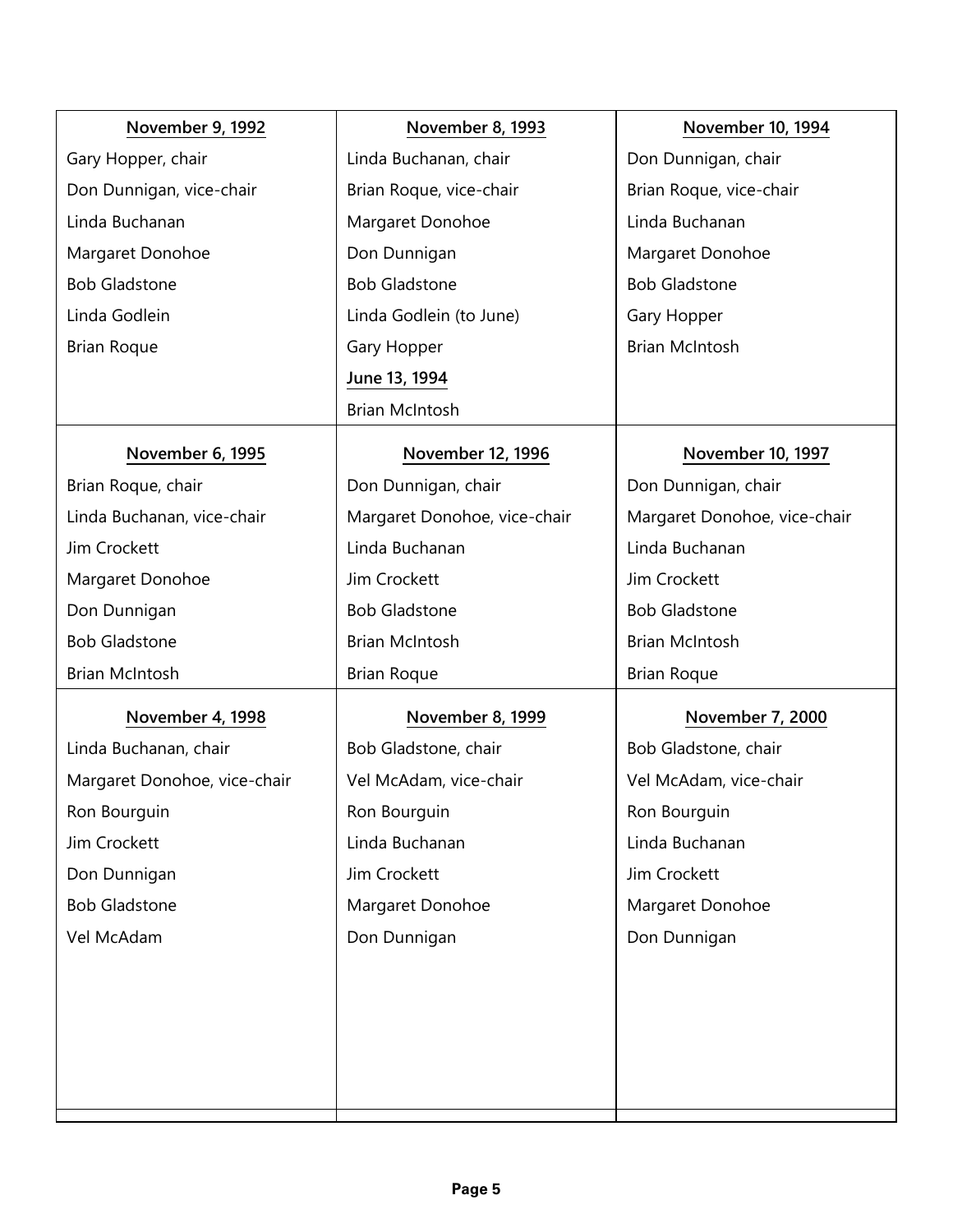| November 9, 1992             | November 8, 1993             | <b>November 10, 1994</b>     |
|------------------------------|------------------------------|------------------------------|
| Gary Hopper, chair           | Linda Buchanan, chair        | Don Dunnigan, chair          |
| Don Dunnigan, vice-chair     | Brian Roque, vice-chair      | Brian Roque, vice-chair      |
| Linda Buchanan               | Margaret Donohoe             | Linda Buchanan               |
| Margaret Donohoe             | Don Dunnigan                 | Margaret Donohoe             |
| <b>Bob Gladstone</b>         | <b>Bob Gladstone</b>         | <b>Bob Gladstone</b>         |
| Linda Godlein                | Linda Godlein (to June)      | Gary Hopper                  |
| <b>Brian Roque</b>           | Gary Hopper                  | <b>Brian McIntosh</b>        |
|                              | June 13, 1994                |                              |
|                              | <b>Brian McIntosh</b>        |                              |
| November 6, 1995             | November 12, 1996            | November 10, 1997            |
| Brian Roque, chair           | Don Dunnigan, chair          | Don Dunnigan, chair          |
| Linda Buchanan, vice-chair   | Margaret Donohoe, vice-chair | Margaret Donohoe, vice-chair |
| Jim Crockett                 | Linda Buchanan               | Linda Buchanan               |
| Margaret Donohoe             | Jim Crockett                 | Jim Crockett                 |
| Don Dunnigan                 | <b>Bob Gladstone</b>         | <b>Bob Gladstone</b>         |
| <b>Bob Gladstone</b>         | <b>Brian McIntosh</b>        | <b>Brian McIntosh</b>        |
| <b>Brian McIntosh</b>        | <b>Brian Roque</b>           | <b>Brian Roque</b>           |
| November 4, 1998             | November 8, 1999             | November 7, 2000             |
| Linda Buchanan, chair        | Bob Gladstone, chair         | Bob Gladstone, chair         |
| Margaret Donohoe, vice-chair | Vel McAdam, vice-chair       | Vel McAdam, vice-chair       |
| Ron Bourguin                 | Ron Bourguin                 | Ron Bourguin                 |
| Jim Crockett                 | Linda Buchanan               | Linda Buchanan               |
| Don Dunnigan                 | Jim Crockett                 | Jim Crockett                 |
| <b>Bob Gladstone</b>         | Margaret Donohoe             | Margaret Donohoe             |
| Vel McAdam                   | Don Dunnigan                 | Don Dunnigan                 |
|                              |                              |                              |
|                              |                              |                              |
|                              |                              |                              |
|                              |                              |                              |
|                              |                              |                              |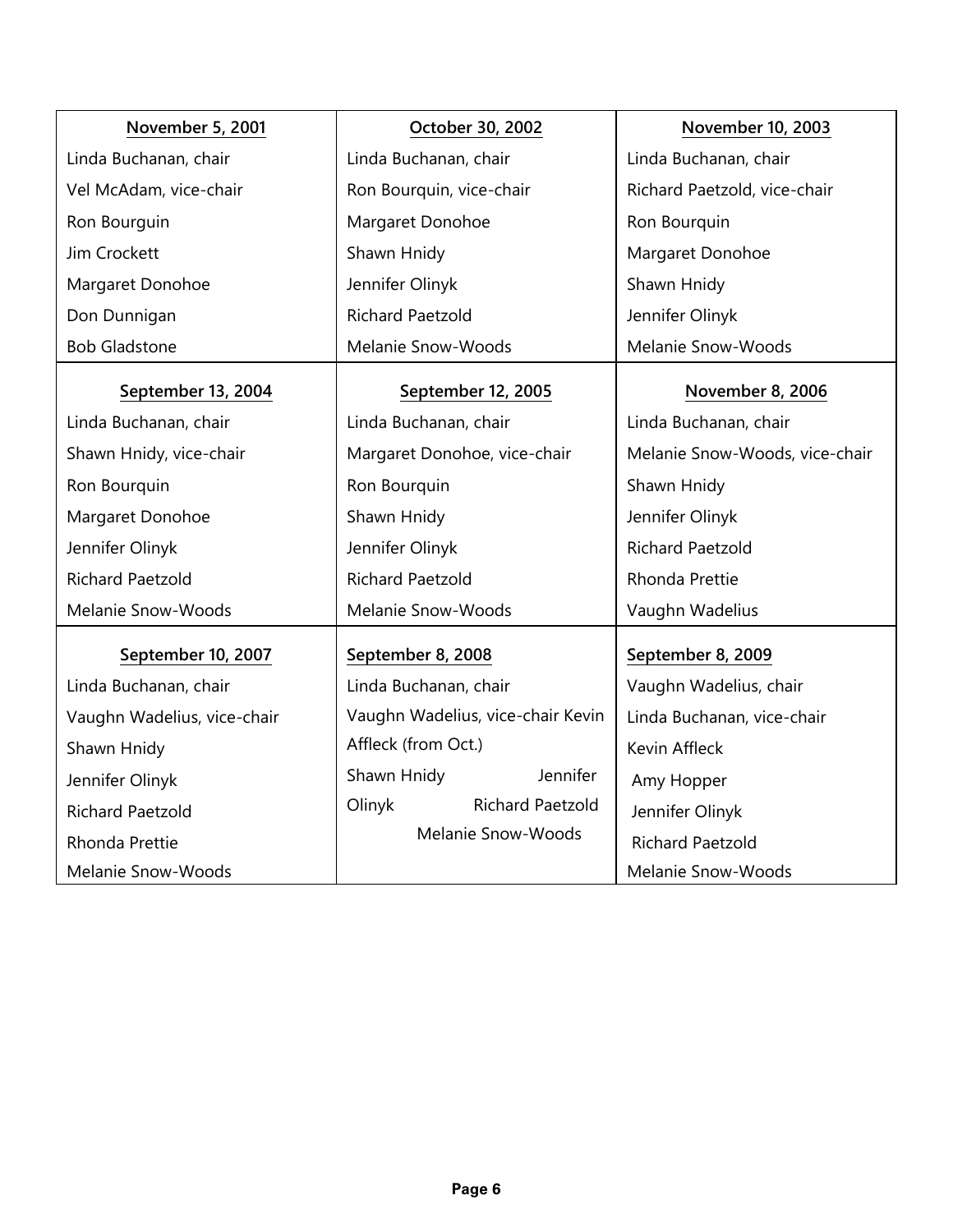| November 5, 2001            | October 30, 2002                  | <b>November 10, 2003</b>       |
|-----------------------------|-----------------------------------|--------------------------------|
| Linda Buchanan, chair       | Linda Buchanan, chair             | Linda Buchanan, chair          |
| Vel McAdam, vice-chair      | Ron Bourquin, vice-chair          | Richard Paetzold, vice-chair   |
| Ron Bourguin                | Margaret Donohoe                  | Ron Bourquin                   |
| Jim Crockett                | Shawn Hnidy                       | Margaret Donohoe               |
| Margaret Donohoe            | Jennifer Olinyk                   | Shawn Hnidy                    |
| Don Dunnigan                | <b>Richard Paetzold</b>           | Jennifer Olinyk                |
| <b>Bob Gladstone</b>        | Melanie Snow-Woods                | Melanie Snow-Woods             |
| September 13, 2004          | September 12, 2005                | November 8, 2006               |
| Linda Buchanan, chair       | Linda Buchanan, chair             | Linda Buchanan, chair          |
| Shawn Hnidy, vice-chair     | Margaret Donohoe, vice-chair      | Melanie Snow-Woods, vice-chair |
| Ron Bourquin                | Ron Bourquin                      | Shawn Hnidy                    |
| Margaret Donohoe            | Shawn Hnidy                       | Jennifer Olinyk                |
| Jennifer Olinyk             | Jennifer Olinyk                   | <b>Richard Paetzold</b>        |
| <b>Richard Paetzold</b>     | <b>Richard Paetzold</b>           | Rhonda Prettie                 |
| Melanie Snow-Woods          | Melanie Snow-Woods                | Vaughn Wadelius                |
| September 10, 2007          | September 8, 2008                 | September 8, 2009              |
| Linda Buchanan, chair       | Linda Buchanan, chair             | Vaughn Wadelius, chair         |
| Vaughn Wadelius, vice-chair | Vaughn Wadelius, vice-chair Kevin | Linda Buchanan, vice-chair     |
| Shawn Hnidy                 | Affleck (from Oct.)               | Kevin Affleck                  |
| Jennifer Olinyk             | Jennifer<br>Shawn Hnidy           | Amy Hopper                     |
| Richard Paetzold            | <b>Richard Paetzold</b><br>Olinyk | Jennifer Olinyk                |
| Rhonda Prettie              | Melanie Snow-Woods                | <b>Richard Paetzold</b>        |
| Melanie Snow-Woods          |                                   | Melanie Snow-Woods             |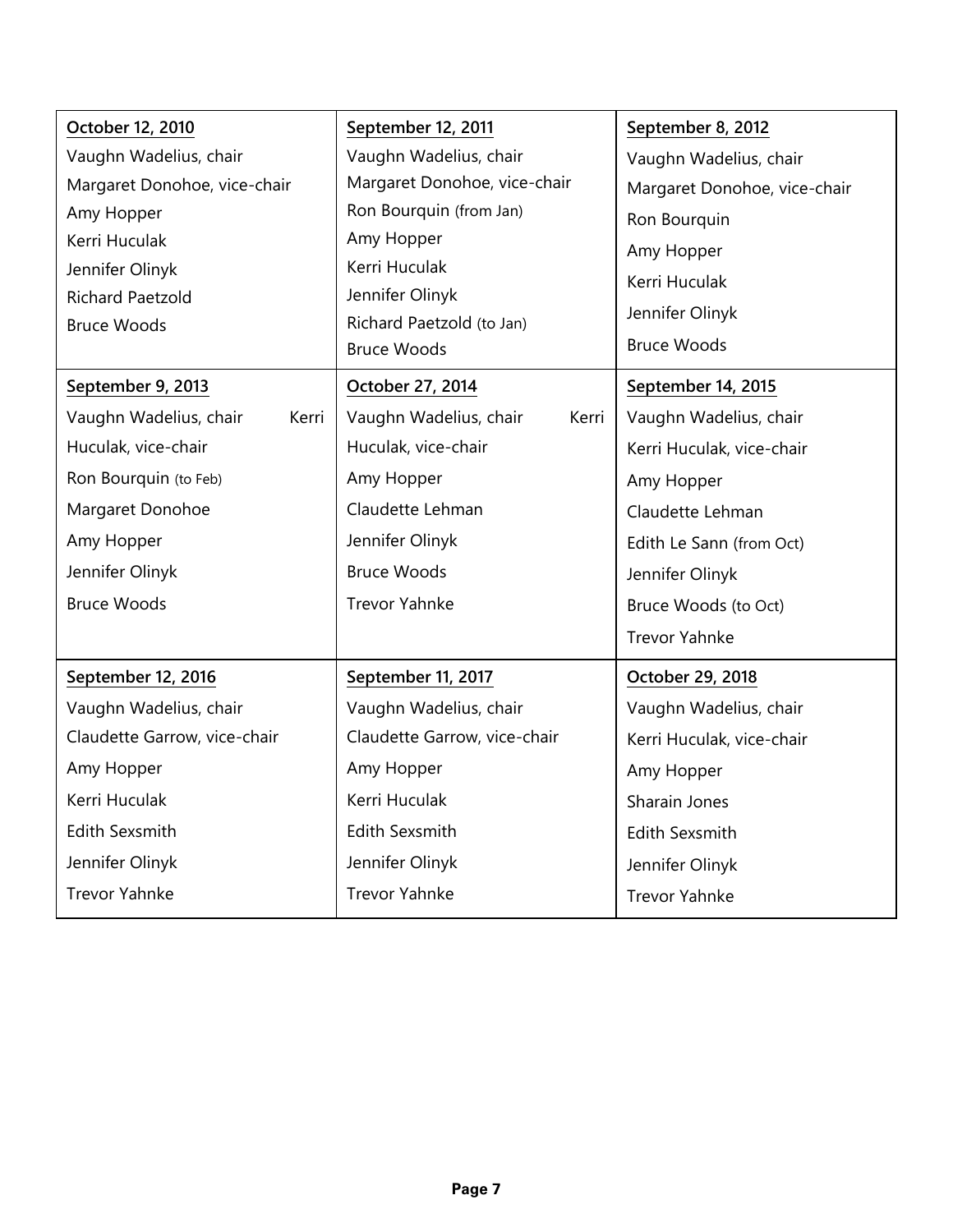| October 12, 2010                | September 12, 2011                              | September 8, 2012            |
|---------------------------------|-------------------------------------------------|------------------------------|
| Vaughn Wadelius, chair          | Vaughn Wadelius, chair                          | Vaughn Wadelius, chair       |
| Margaret Donohoe, vice-chair    | Margaret Donohoe, vice-chair                    | Margaret Donohoe, vice-chair |
| Amy Hopper                      | Ron Bourquin (from Jan)                         | Ron Bourquin                 |
| Kerri Huculak                   | Amy Hopper                                      | Amy Hopper                   |
| Jennifer Olinyk                 | Kerri Huculak                                   | Kerri Huculak                |
| Richard Paetzold                | Jennifer Olinyk                                 | Jennifer Olinyk              |
| <b>Bruce Woods</b>              | Richard Paetzold (to Jan)<br><b>Bruce Woods</b> | <b>Bruce Woods</b>           |
|                                 |                                                 |                              |
| September 9, 2013               | October 27, 2014                                | September 14, 2015           |
| Vaughn Wadelius, chair<br>Kerri | Vaughn Wadelius, chair<br>Kerri                 | Vaughn Wadelius, chair       |
| Huculak, vice-chair             | Huculak, vice-chair                             | Kerri Huculak, vice-chair    |
| Ron Bourquin (to Feb)           | Amy Hopper                                      | Amy Hopper                   |
| Margaret Donohoe                | Claudette Lehman                                | Claudette Lehman             |
| Amy Hopper                      | Jennifer Olinyk                                 | Edith Le Sann (from Oct)     |
| Jennifer Olinyk                 | <b>Bruce Woods</b>                              | Jennifer Olinyk              |
| <b>Bruce Woods</b>              | Trevor Yahnke                                   | Bruce Woods (to Oct)         |
|                                 |                                                 | <b>Trevor Yahnke</b>         |
| September 12, 2016              | September 11, 2017                              | October 29, 2018             |
| Vaughn Wadelius, chair          | Vaughn Wadelius, chair                          | Vaughn Wadelius, chair       |
| Claudette Garrow, vice-chair    | Claudette Garrow, vice-chair                    | Kerri Huculak, vice-chair    |
| Amy Hopper                      | Amy Hopper                                      | Amy Hopper                   |
| Kerri Huculak                   | Kerri Huculak                                   | Sharain Jones                |
| Edith Sexsmith                  | Edith Sexsmith                                  | <b>Edith Sexsmith</b>        |
| Jennifer Olinyk                 | Jennifer Olinyk                                 | Jennifer Olinyk              |
| <b>Trevor Yahnke</b>            | <b>Trevor Yahnke</b>                            | <b>Trevor Yahnke</b>         |